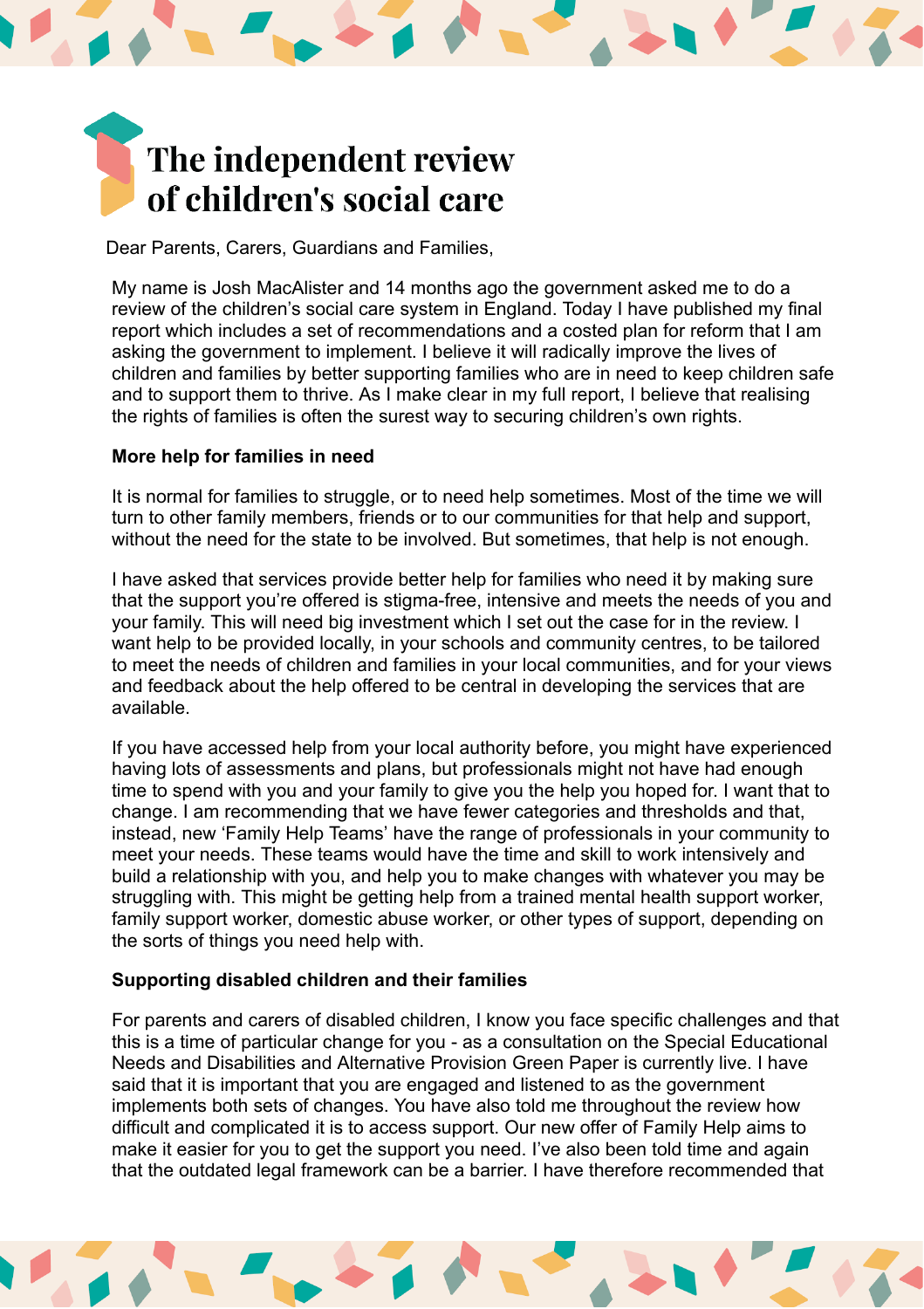# The independent review of children's social care

Dear Parents, Carers, Guardians and Families,

My name is Josh MacAlister and 14 months ago the government asked me to do a review of the children's social care system in England. Today I have published my final report which includes a set of recommendations and a costed plan for reform that I am asking the government to implement. I believe it will radically improve the lives of children and families by better supporting families who are in need to keep children safe and to support them to thrive. As I make clear in my full report, I believe that realising the rights of families is often the surest way to securing children's own rights.

## **More help for families in need**

It is normal for families to struggle, or to need help sometimes. Most of the time we will turn to other family members, friends or to our communities for that help and support, without the need for the state to be involved. But sometimes, that help is not enough.

I have asked that services provide better help for families who need it by making sure that the support you're offered is stigma-free, intensive and meets the needs of you and your family. This will need big investment which I set out the case for in the review. I want help to be provided locally, in your schools and community centres, to be tailored to meet the needs of children and families in your local communities, and for your views and feedback about the help offered to be central in developing the services that are available.

If you have accessed help from your local authority before, you might have experienced having lots of assessments and plans, but professionals might not have had enough time to spend with you and your family to give you the help you hoped for. I want that to change. I am recommending that we have fewer categories and thresholds and that, instead, new 'Family Help Teams' have the range of professionals in your community to meet your needs. These teams would have the time and skill to work intensively and build a relationship with you, and help you to make changes with whatever you may be struggling with. This might be getting help from a trained mental health support worker, family support worker, domestic abuse worker, or other types of support, depending on the sorts of things you need help with.

## **Supporting disabled children and their families**

For parents and carers of disabled children, I know you face specific challenges and that this is a time of particular change for you - as a consultation on the Special Educational Needs and Disabilities and Alternative Provision Green Paper is currently live. I have said that it is important that you are engaged and listened to as the government implements both sets of changes. You have also told me throughout the review how difficult and complicated it is to access support. Our new offer of Family Help aims to make it easier for you to get the support you need. I've also been told time and again that the outdated legal framework can be a barrier. I have therefore recommended that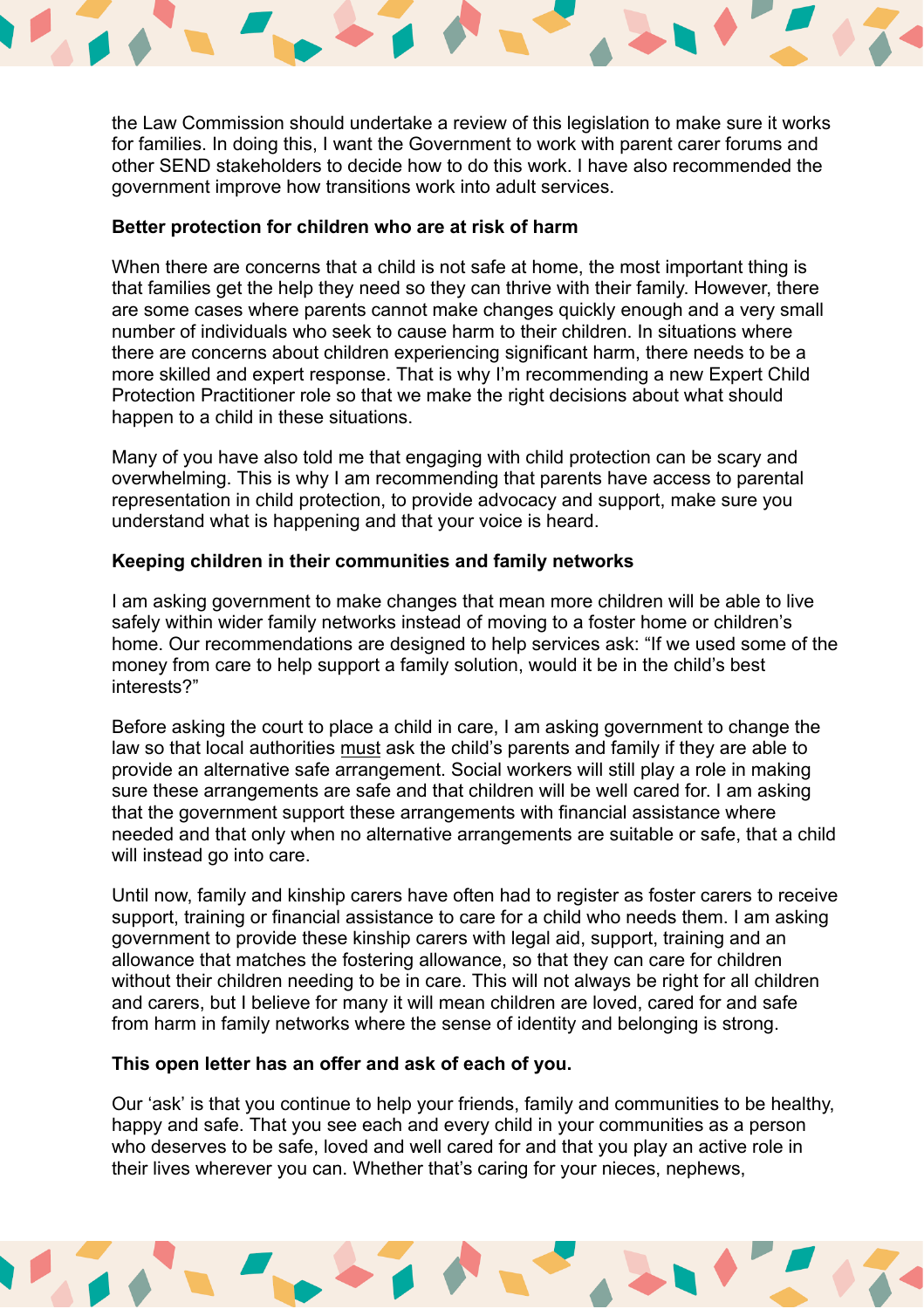

the Law Commission should undertake a review of this legislation to make sure it works for families. In doing this, I want the Government to work with parent carer forums and other SEND stakeholders to decide how to do this work. I have also recommended the government improve how transitions work into adult services.

### **Better protection for children who are at risk of harm**

When there are concerns that a child is not safe at home, the most important thing is that families get the help they need so they can thrive with their family. However, there are some cases where parents cannot make changes quickly enough and a very small number of individuals who seek to cause harm to their children. In situations where there are concerns about children experiencing significant harm, there needs to be a more skilled and expert response. That is why I'm recommending a new Expert Child Protection Practitioner role so that we make the right decisions about what should happen to a child in these situations.

Many of you have also told me that engaging with child protection can be scary and overwhelming. This is why I am recommending that parents have access to parental representation in child protection, to provide advocacy and support, make sure you understand what is happening and that your voice is heard.

#### **Keeping children in their communities and family networks**

I am asking government to make changes that mean more children will be able to live safely within wider family networks instead of moving to a foster home or children's home. Our recommendations are designed to help services ask: "If we used some of the money from care to help support a family solution, would it be in the child's best interests?"

Before asking the court to place a child in care, I am asking government to change the law so that local authorities must ask the child's parents and family if they are able to provide an alternative safe arrangement. Social workers will still play a role in making sure these arrangements are safe and that children will be well cared for. I am asking that the government support these arrangements with financial assistance where needed and that only when no alternative arrangements are suitable or safe, that a child will instead go into care.

Until now, family and kinship carers have often had to register as foster carers to receive support, training or financial assistance to care for a child who needs them. I am asking government to provide these kinship carers with legal aid, support, training and an allowance that matches the fostering allowance, so that they can care for children without their children needing to be in care. This will not always be right for all children and carers, but I believe for many it will mean children are loved, cared for and safe from harm in family networks where the sense of identity and belonging is strong.

#### **This open letter has an offer and ask of each of you.**

Our 'ask' is that you continue to help your friends, family and communities to be healthy, happy and safe. That you see each and every child in your communities as a person who deserves to be safe, loved and well cared for and that you play an active role in their lives wherever you can. Whether that's caring for your nieces, nephews,